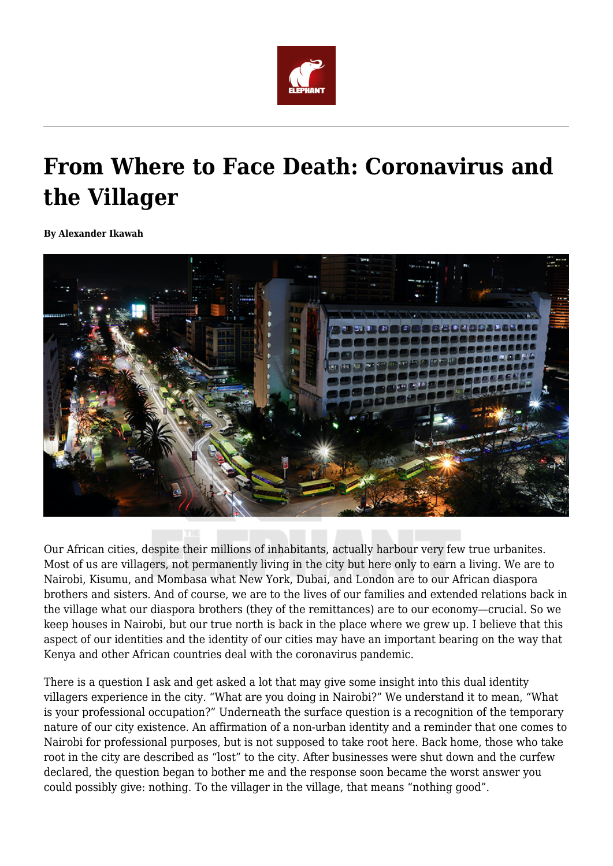

## **From Where to Face Death: Coronavirus and the Villager**

**By Alexander Ikawah**



Our African cities, despite their millions of inhabitants, actually harbour very few true urbanites. Most of us are villagers, not permanently living in the city but here only to earn a living. We are to Nairobi, Kisumu, and Mombasa what New York, Dubai, and London are to our African diaspora brothers and sisters. And of course, we are to the lives of our families and extended relations back in the village what our diaspora brothers (they of the remittances) are to our economy—crucial. So we keep houses in Nairobi, but our true north is back in the place where we grew up. I believe that this aspect of our identities and the identity of our cities may have an important bearing on the way that Kenya and other African countries deal with the coronavirus pandemic.

There is a question I ask and get asked a lot that may give some insight into this dual identity villagers experience in the city. "What are you doing in Nairobi?" We understand it to mean, "What is your professional occupation?" Underneath the surface question is a recognition of the temporary nature of our city existence. An affirmation of a non-urban identity and a reminder that one comes to Nairobi for professional purposes, but is not supposed to take root here. Back home, those who take root in the city are described as "lost" to the city. After businesses were shut down and the curfew declared, the question began to bother me and the response soon became the worst answer you could possibly give: nothing. To the villager in the village, that means "nothing good".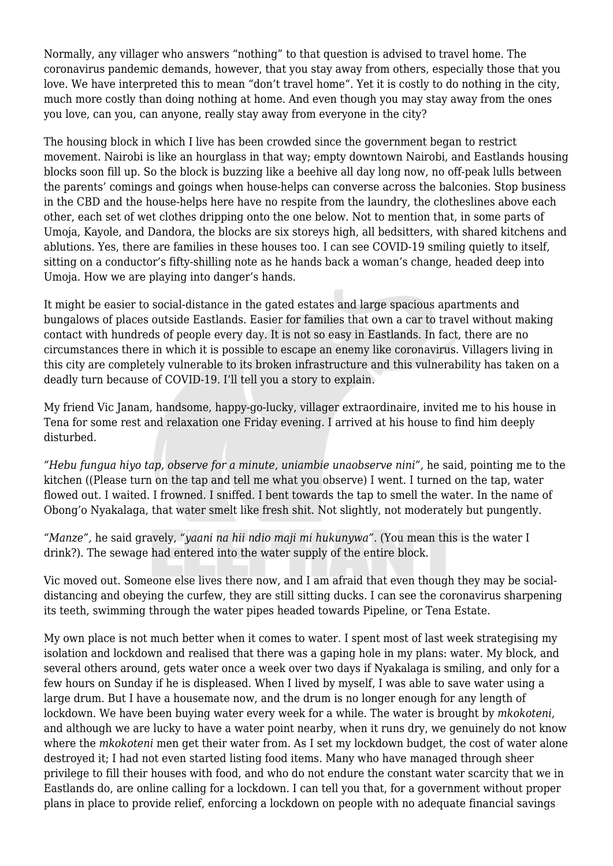Normally, any villager who answers "nothing" to that question is advised to travel home. The coronavirus pandemic demands, however, that you stay away from others, especially those that you love. We have interpreted this to mean "don't travel home". Yet it is costly to do nothing in the city, much more costly than doing nothing at home. And even though you may stay away from the ones you love, can you, can anyone, really stay away from everyone in the city?

The housing block in which I live has been crowded since the government began to restrict movement. Nairobi is like an hourglass in that way; empty downtown Nairobi, and Eastlands housing blocks soon fill up. So the block is buzzing like a beehive all day long now, no off-peak lulls between the parents' comings and goings when house-helps can converse across the balconies. Stop business in the CBD and the house-helps here have no respite from the laundry, the clotheslines above each other, each set of wet clothes dripping onto the one below. Not to mention that, in some parts of Umoja, Kayole, and Dandora, the blocks are six storeys high, all bedsitters, with shared kitchens and ablutions. Yes, there are families in these houses too. I can see COVID-19 smiling quietly to itself, sitting on a conductor's fifty-shilling note as he hands back a woman's change, headed deep into Umoja. How we are playing into danger's hands.

It might be easier to social-distance in the gated estates and large spacious apartments and bungalows of places outside Eastlands. Easier for families that own a car to travel without making contact with hundreds of people every day. It is not so easy in Eastlands. In fact, there are no circumstances there in which it is possible to escape an enemy like coronavirus. Villagers living in this city are completely vulnerable to its broken infrastructure and this vulnerability has taken on a deadly turn because of COVID-19. I'll tell you a story to explain.

My friend Vic Janam, handsome, happy-go-lucky, villager extraordinaire, invited me to his house in Tena for some rest and relaxation one Friday evening. I arrived at his house to find him deeply disturbed.

*"Hebu fungua hiyo tap, observe for a minute, uniambie unaobserve nini",* he said, pointing me to the kitchen ((Please turn on the tap and tell me what you observe) I went. I turned on the tap, water flowed out. I waited. I frowned. I sniffed. I bent towards the tap to smell the water. In the name of Obong'o Nyakalaga, that water smelt like fresh shit. Not slightly, not moderately but pungently.

*"Manze",* he said gravely, *"yaani na hii ndio maji mi hukunywa".* (You mean this is the water I drink?). The sewage had entered into the water supply of the entire block.

Vic moved out. Someone else lives there now, and I am afraid that even though they may be socialdistancing and obeying the curfew, they are still sitting ducks. I can see the coronavirus sharpening its teeth, swimming through the water pipes headed towards Pipeline, or Tena Estate.

My own place is not much better when it comes to water. I spent most of last week strategising my isolation and lockdown and realised that there was a gaping hole in my plans: water. My block, and several others around, gets water once a week over two days if Nyakalaga is smiling, and only for a few hours on Sunday if he is displeased. When I lived by myself, I was able to save water using a large drum. But I have a housemate now, and the drum is no longer enough for any length of lockdown. We have been buying water every week for a while. The water is brought by *mkokoteni*, and although we are lucky to have a water point nearby, when it runs dry, we genuinely do not know where the *mkokoteni* men get their water from. As I set my lockdown budget, the cost of water alone destroyed it; I had not even started listing food items. Many who have managed through sheer privilege to fill their houses with food, and who do not endure the constant water scarcity that we in Eastlands do, are online calling for a lockdown. I can tell you that, for a government without proper plans in place to provide relief, enforcing a lockdown on people with no adequate financial savings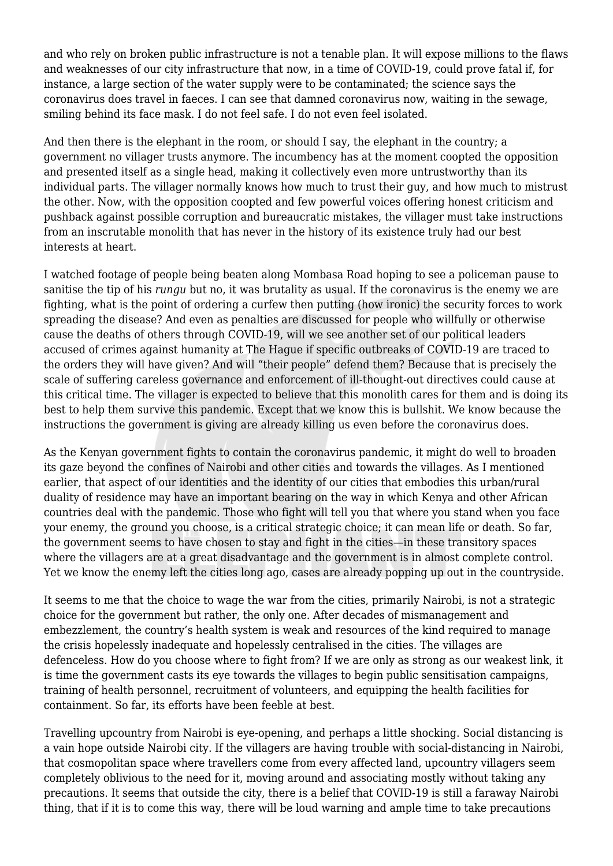and who rely on broken public infrastructure is not a tenable plan. It will expose millions to the flaws and weaknesses of our city infrastructure that now, in a time of COVID-19, could prove fatal if, for instance, a large section of the water supply were to be contaminated; the science says the coronavirus does travel in faeces. I can see that damned coronavirus now, waiting in the sewage, smiling behind its face mask. I do not feel safe. I do not even feel isolated.

And then there is the elephant in the room, or should I say, the elephant in the country; a government no villager trusts anymore. The incumbency has at the moment coopted the opposition and presented itself as a single head, making it collectively even more untrustworthy than its individual parts. The villager normally knows how much to trust their guy, and how much to mistrust the other. Now, with the opposition coopted and few powerful voices offering honest criticism and pushback against possible corruption and bureaucratic mistakes, the villager must take instructions from an inscrutable monolith that has never in the history of its existence truly had our best interests at heart.

I watched footage of people being beaten along Mombasa Road hoping to see a policeman pause to sanitise the tip of his *rungu* but no, it was brutality as usual. If the coronavirus is the enemy we are fighting, what is the point of ordering a curfew then putting (how ironic) the security forces to work spreading the disease? And even as penalties are discussed for people who willfully or otherwise cause the deaths of others through COVID-19, will we see another set of our political leaders accused of crimes against humanity at The Hague if specific outbreaks of COVID-19 are traced to the orders they will have given? And will "their people" defend them? Because that is precisely the scale of suffering careless governance and enforcement of ill-thought-out directives could cause at this critical time. The villager is expected to believe that this monolith cares for them and is doing its best to help them survive this pandemic. Except that we know this is bullshit. We know because the instructions the government is giving are already killing us even before the coronavirus does.

As the Kenyan government fights to contain the coronavirus pandemic, it might do well to broaden its gaze beyond the confines of Nairobi and other cities and towards the villages. As I mentioned earlier, that aspect of our identities and the identity of our cities that embodies this urban/rural duality of residence may have an important bearing on the way in which Kenya and other African countries deal with the pandemic. Those who fight will tell you that where you stand when you face your enemy, the ground you choose, is a critical strategic choice; it can mean life or death. So far, the government seems to have chosen to stay and fight in the cities—in these transitory spaces where the villagers are at a great disadvantage and the government is in almost complete control. Yet we know the enemy left the cities long ago, cases are already popping up out in the countryside.

It seems to me that the choice to wage the war from the cities, primarily Nairobi, is not a strategic choice for the government but rather, the only one. After decades of mismanagement and embezzlement, the country's health system is weak and resources of the kind required to manage the crisis hopelessly inadequate and hopelessly centralised in the cities. The villages are defenceless. How do you choose where to fight from? If we are only as strong as our weakest link, it is time the government casts its eye towards the villages to begin public sensitisation campaigns, training of health personnel, recruitment of volunteers, and equipping the health facilities for containment. So far, its efforts have been feeble at best.

Travelling upcountry from Nairobi is eye-opening, and perhaps a little shocking. Social distancing is a vain hope outside Nairobi city. If the villagers are having trouble with social-distancing in Nairobi, that cosmopolitan space where travellers come from every affected land, upcountry villagers seem completely oblivious to the need for it, moving around and associating mostly without taking any precautions. It seems that outside the city, there is a belief that COVID-19 is still a faraway Nairobi thing, that if it is to come this way, there will be loud warning and ample time to take precautions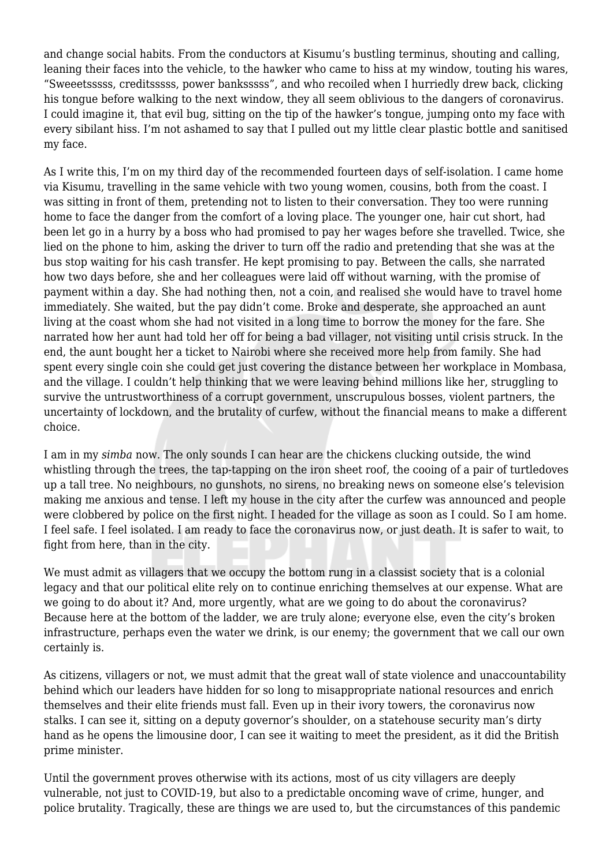and change social habits. From the conductors at Kisumu's bustling terminus, shouting and calling, leaning their faces into the vehicle, to the hawker who came to hiss at my window, touting his wares, "Sweeetsssss, creditsssss, power banksssss", and who recoiled when I hurriedly drew back, clicking his tongue before walking to the next window, they all seem oblivious to the dangers of coronavirus. I could imagine it, that evil bug, sitting on the tip of the hawker's tongue, jumping onto my face with every sibilant hiss. I'm not ashamed to say that I pulled out my little clear plastic bottle and sanitised my face.

As I write this, I'm on my third day of the recommended fourteen days of self-isolation. I came home via Kisumu, travelling in the same vehicle with two young women, cousins, both from the coast. I was sitting in front of them, pretending not to listen to their conversation. They too were running home to face the danger from the comfort of a loving place. The younger one, hair cut short, had been let go in a hurry by a boss who had promised to pay her wages before she travelled. Twice, she lied on the phone to him, asking the driver to turn off the radio and pretending that she was at the bus stop waiting for his cash transfer. He kept promising to pay. Between the calls, she narrated how two days before, she and her colleagues were laid off without warning, with the promise of payment within a day. She had nothing then, not a coin, and realised she would have to travel home immediately. She waited, but the pay didn't come. Broke and desperate, she approached an aunt living at the coast whom she had not visited in a long time to borrow the money for the fare. She narrated how her aunt had told her off for being a bad villager, not visiting until crisis struck. In the end, the aunt bought her a ticket to Nairobi where she received more help from family. She had spent every single coin she could get just covering the distance between her workplace in Mombasa, and the village. I couldn't help thinking that we were leaving behind millions like her, struggling to survive the untrustworthiness of a corrupt government, unscrupulous bosses, violent partners, the uncertainty of lockdown, and the brutality of curfew, without the financial means to make a different choice.

I am in my *simba* now. The only sounds I can hear are the chickens clucking outside, the wind whistling through the trees, the tap-tapping on the iron sheet roof, the cooing of a pair of turtledoves up a tall tree. No neighbours, no gunshots, no sirens, no breaking news on someone else's television making me anxious and tense. I left my house in the city after the curfew was announced and people were clobbered by police on the first night. I headed for the village as soon as I could. So I am home. I feel safe. I feel isolated. I am ready to face the coronavirus now, or just death. It is safer to wait, to fight from here, than in the city.

We must admit as villagers that we occupy the bottom rung in a classist society that is a colonial legacy and that our political elite rely on to continue enriching themselves at our expense. What are we going to do about it? And, more urgently, what are we going to do about the coronavirus? Because here at the bottom of the ladder, we are truly alone; everyone else, even the city's broken infrastructure, perhaps even the water we drink, is our enemy; the government that we call our own certainly is.

As citizens, villagers or not, we must admit that the great wall of state violence and unaccountability behind which our leaders have hidden for so long to misappropriate national resources and enrich themselves and their elite friends must fall. Even up in their ivory towers, the coronavirus now stalks. I can see it, sitting on a deputy governor's shoulder, on a statehouse security man's dirty hand as he opens the limousine door, I can see it waiting to meet the president, as it did the British prime minister.

Until the government proves otherwise with its actions, most of us city villagers are deeply vulnerable, not just to COVID-19, but also to a predictable oncoming wave of crime, hunger, and police brutality. Tragically, these are things we are used to, but the circumstances of this pandemic